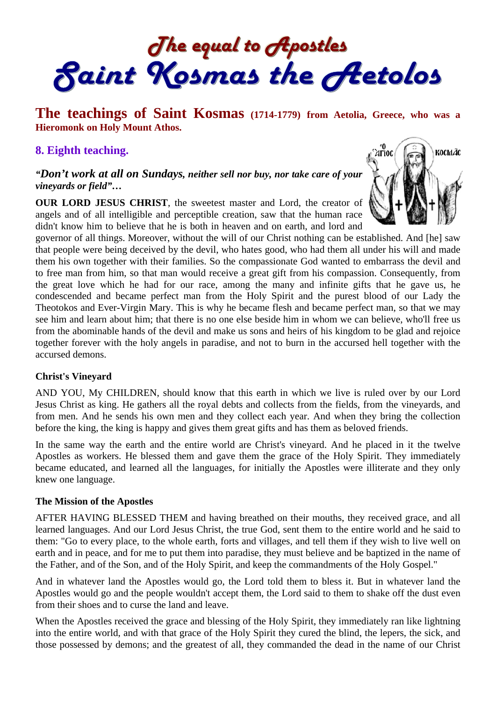The equal to Apostles<br>Saint Kosmas the Aetolos

# **The teachings of Saint Kosmas (1714-1779) from Aetolia, Greece, who was a Hieromonk on Holy Mount Athos.**

## **8. Eighth teaching.**

### *"Don't work at all on Sundays, neither sell nor buy, nor take care of your vineyards or field"…*

**OUR LORD JESUS CHRIST**, the sweetest master and Lord, the creator of angels and of all intelligible and perceptible creation, saw that the human race didn't know him to believe that he is both in heaven and on earth, and lord and



governor of all things. Moreover, without the will of our Christ nothing can be established. And [he] saw that people were being deceived by the devil, who hates good, who had them all under his will and made them his own together with their families. So the compassionate God wanted to embarrass the devil and to free man from him, so that man would receive a great gift from his compassion. Consequently, from the great love which he had for our race, among the many and infinite gifts that he gave us, he condescended and became perfect man from the Holy Spirit and the purest blood of our Lady the Theotokos and Ever-Virgin Mary. This is why he became flesh and became perfect man, so that we may see him and learn about him; that there is no one else beside him in whom we can believe, who'll free us from the abominable hands of the devil and make us sons and heirs of his kingdom to be glad and rejoice together forever with the holy angels in paradise, and not to burn in the accursed hell together with the accursed demons.

#### **Christ's Vineyard**

AND YOU, My CHILDREN, should know that this earth in which we live is ruled over by our Lord Jesus Christ as king. He gathers all the royal debts and collects from the fields, from the vineyards, and from men. And he sends his own men and they collect each year. And when they bring the collection before the king, the king is happy and gives them great gifts and has them as beloved friends.

In the same way the earth and the entire world are Christ's vineyard. And he placed in it the twelve Apostles as workers. He blessed them and gave them the grace of the Holy Spirit. They immediately became educated, and learned all the languages, for initially the Apostles were illiterate and they only knew one language.

#### **The Mission of the Apostles**

AFTER HAVING BLESSED THEM and having breathed on their mouths, they received grace, and all learned languages. And our Lord Jesus Christ, the true God, sent them to the entire world and he said to them: "Go to every place, to the whole earth, forts and villages, and tell them if they wish to live well on earth and in peace, and for me to put them into paradise, they must believe and be baptized in the name of the Father, and of the Son, and of the Holy Spirit, and keep the commandments of the Holy Gospel."

And in whatever land the Apostles would go, the Lord told them to bless it. But in whatever land the Apostles would go and the people wouldn't accept them, the Lord said to them to shake off the dust even from their shoes and to curse the land and leave.

When the Apostles received the grace and blessing of the Holy Spirit, they immediately ran like lightning into the entire world, and with that grace of the Holy Spirit they cured the blind, the lepers, the sick, and those possessed by demons; and the greatest of all, they commanded the dead in the name of our Christ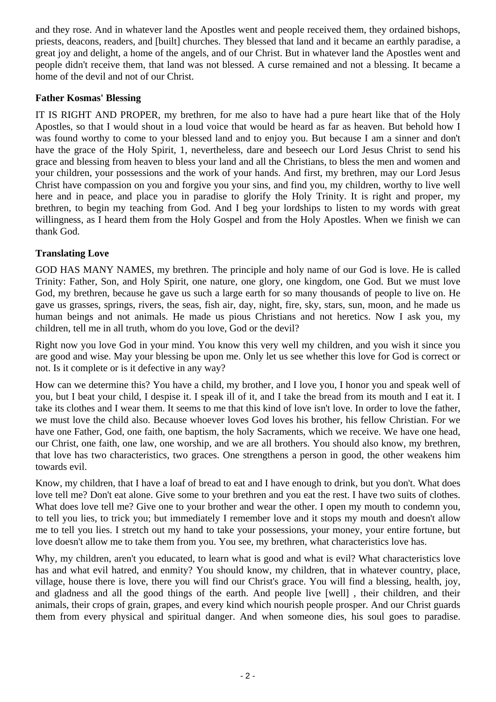and they rose. And in whatever land the Apostles went and people received them, they ordained bishops, priests, deacons, readers, and [built] churches. They blessed that land and it became an earthly paradise, a great joy and delight, a home of the angels, and of our Christ. But in whatever land the Apostles went and people didn't receive them, that land was not blessed. A curse remained and not a blessing. It became a home of the devil and not of our Christ.

### **Father Kosmas' Blessing**

IT IS RIGHT AND PROPER, my brethren, for me also to have had a pure heart like that of the Holy Apostles, so that I would shout in a loud voice that would be heard as far as heaven. But behold how I was found worthy to come to your blessed land and to enjoy you. But because I am a sinner and don't have the grace of the Holy Spirit, 1, nevertheless, dare and beseech our Lord Jesus Christ to send his grace and blessing from heaven to bless your land and all the Christians, to bless the men and women and your children, your possessions and the work of your hands. And first, my brethren, may our Lord Jesus Christ have compassion on you and forgive you your sins, and find you, my children, worthy to live well here and in peace, and place you in paradise to glorify the Holy Trinity. It is right and proper, my brethren, to begin my teaching from God. And I beg your lordships to listen to my words with great willingness, as I heard them from the Holy Gospel and from the Holy Apostles. When we finish we can thank God.

## **Translating Love**

GOD HAS MANY NAMES, my brethren. The principle and holy name of our God is love. He is called Trinity: Father, Son, and Holy Spirit, one nature, one glory, one kingdom, one God. But we must love God, my brethren, because he gave us such a large earth for so many thousands of people to live on. He gave us grasses, springs, rivers, the seas, fish air, day, night, fire, sky, stars, sun, moon, and he made us human beings and not animals. He made us pious Christians and not heretics. Now I ask you, my children, tell me in all truth, whom do you love, God or the devil?

Right now you love God in your mind. You know this very well my children, and you wish it since you are good and wise. May your blessing be upon me. Only let us see whether this love for God is correct or not. Is it complete or is it defective in any way?

How can we determine this? You have a child, my brother, and I love you, I honor you and speak well of you, but I beat your child, I despise it. I speak ill of it, and I take the bread from its mouth and I eat it. I take its clothes and I wear them. It seems to me that this kind of love isn't love. In order to love the father, we must love the child also. Because whoever loves God loves his brother, his fellow Christian. For we have one Father, God, one faith, one baptism, the holy Sacraments, which we receive. We have one head, our Christ, one faith, one law, one worship, and we are all brothers. You should also know, my brethren, that love has two characteristics, two graces. One strengthens a person in good, the other weakens him towards evil.

Know, my children, that I have a loaf of bread to eat and I have enough to drink, but you don't. What does love tell me? Don't eat alone. Give some to your brethren and you eat the rest. I have two suits of clothes. What does love tell me? Give one to your brother and wear the other. I open my mouth to condemn you, to tell you lies, to trick you; but immediately I remember love and it stops my mouth and doesn't allow me to tell you lies. I stretch out my hand to take your possessions, your money, your entire fortune, but love doesn't allow me to take them from you. You see, my brethren, what characteristics love has.

Why, my children, aren't you educated, to learn what is good and what is evil? What characteristics love has and what evil hatred, and enmity? You should know, my children, that in whatever country, place, village, house there is love, there you will find our Christ's grace. You will find a blessing, health, joy, and gladness and all the good things of the earth. And people live [well] , their children, and their animals, their crops of grain, grapes, and every kind which nourish people prosper. And our Christ guards them from every physical and spiritual danger. And when someone dies, his soul goes to paradise.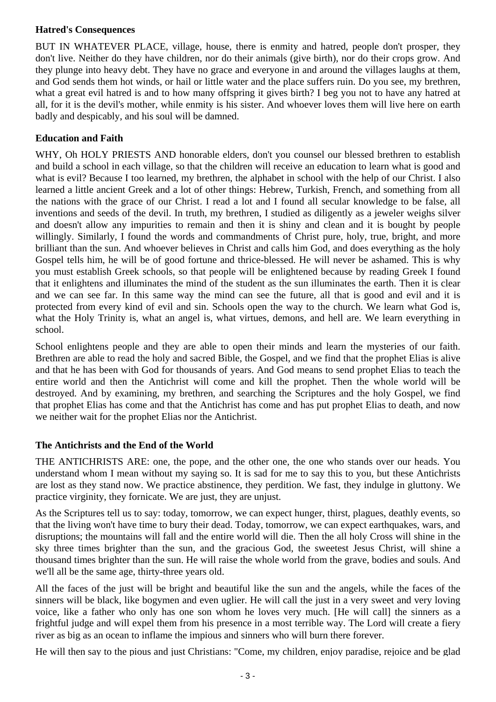### **Hatred's Consequences**

BUT IN WHATEVER PLACE, village, house, there is enmity and hatred, people don't prosper, they don't live. Neither do they have children, nor do their animals (give birth), nor do their crops grow. And they plunge into heavy debt. They have no grace and everyone in and around the villages laughs at them, and God sends them hot winds, or hail or little water and the place suffers ruin. Do you see, my brethren, what a great evil hatred is and to how many offspring it gives birth? I beg you not to have any hatred at all, for it is the devil's mother, while enmity is his sister. And whoever loves them will live here on earth badly and despicably, and his soul will be damned.

## **Education and Faith**

WHY, Oh HOLY PRIESTS AND honorable elders, don't you counsel our blessed brethren to establish and build a school in each village, so that the children will receive an education to learn what is good and what is evil? Because I too learned, my brethren, the alphabet in school with the help of our Christ. I also learned a little ancient Greek and a lot of other things: Hebrew, Turkish, French, and something from all the nations with the grace of our Christ. I read a lot and I found all secular knowledge to be false, all inventions and seeds of the devil. In truth, my brethren, I studied as diligently as a jeweler weighs silver and doesn't allow any impurities to remain and then it is shiny and clean and it is bought by people willingly. Similarly, I found the words and commandments of Christ pure, holy, true, bright, and more brilliant than the sun. And whoever believes in Christ and calls him God, and does everything as the holy Gospel tells him, he will be of good fortune and thrice-blessed. He will never be ashamed. This is why you must establish Greek schools, so that people will be enlightened because by reading Greek I found that it enlightens and illuminates the mind of the student as the sun illuminates the earth. Then it is clear and we can see far. In this same way the mind can see the future, all that is good and evil and it is protected from every kind of evil and sin. Schools open the way to the church. We learn what God is, what the Holy Trinity is, what an angel is, what virtues, demons, and hell are. We learn everything in school.

School enlightens people and they are able to open their minds and learn the mysteries of our faith. Brethren are able to read the holy and sacred Bible, the Gospel, and we find that the prophet Elias is alive and that he has been with God for thousands of years. And God means to send prophet Elias to teach the entire world and then the Antichrist will come and kill the prophet. Then the whole world will be destroyed. And by examining, my brethren, and searching the Scriptures and the holy Gospel, we find that prophet Elias has come and that the Antichrist has come and has put prophet Elias to death, and now we neither wait for the prophet Elias nor the Antichrist.

#### **The Antichrists and the End of the World**

THE ANTICHRISTS ARE: one, the pope, and the other one, the one who stands over our heads. You understand whom I mean without my saying so. It is sad for me to say this to you, but these Antichrists are lost as they stand now. We practice abstinence, they perdition. We fast, they indulge in gluttony. We practice virginity, they fornicate. We are just, they are unjust.

As the Scriptures tell us to say: today, tomorrow, we can expect hunger, thirst, plagues, deathly events, so that the living won't have time to bury their dead. Today, tomorrow, we can expect earthquakes, wars, and disruptions; the mountains will fall and the entire world will die. Then the all holy Cross will shine in the sky three times brighter than the sun, and the gracious God, the sweetest Jesus Christ, will shine a thousand times brighter than the sun. He will raise the whole world from the grave, bodies and souls. And we'll all be the same age, thirty-three years old.

All the faces of the just will be bright and beautiful like the sun and the angels, while the faces of the sinners will be black, like bogymen and even uglier. He will call the just in a very sweet and very loving voice, like a father who only has one son whom he loves very much. [He will call] the sinners as a frightful judge and will expel them from his presence in a most terrible way. The Lord will create a fiery river as big as an ocean to inflame the impious and sinners who will burn there forever.

He will then say to the pious and just Christians: "Come, my children, enjoy paradise, rejoice and be glad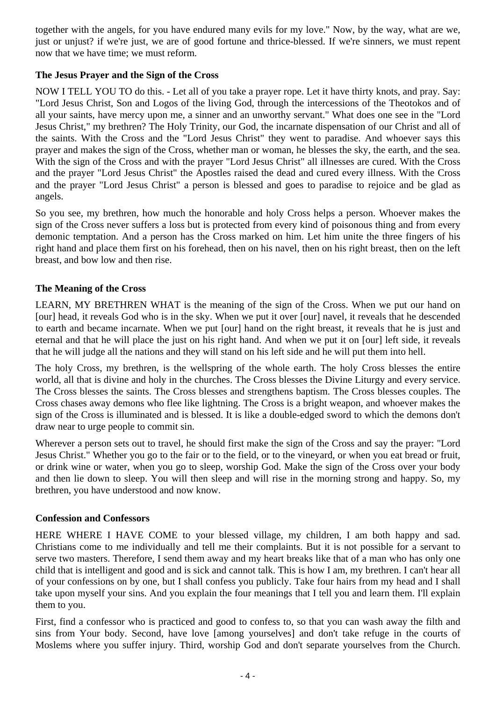together with the angels, for you have endured many evils for my love." Now, by the way, what are we, just or unjust? if we're just, we are of good fortune and thrice-blessed. If we're sinners, we must repent now that we have time; we must reform.

## **The Jesus Prayer and the Sign of the Cross**

NOW I TELL YOU TO do this. - Let all of you take a prayer rope. Let it have thirty knots, and pray. Say: "Lord Jesus Christ, Son and Logos of the living God, through the intercessions of the Theotokos and of all your saints, have mercy upon me, a sinner and an unworthy servant." What does one see in the "Lord Jesus Christ," my brethren? The Holy Trinity, our God, the incarnate dispensation of our Christ and all of the saints. With the Cross and the "Lord Jesus Christ" they went to paradise. And whoever says this prayer and makes the sign of the Cross, whether man or woman, he blesses the sky, the earth, and the sea. With the sign of the Cross and with the prayer "Lord Jesus Christ" all illnesses are cured. With the Cross and the prayer "Lord Jesus Christ" the Apostles raised the dead and cured every illness. With the Cross and the prayer "Lord Jesus Christ" a person is blessed and goes to paradise to rejoice and be glad as angels.

So you see, my brethren, how much the honorable and holy Cross helps a person. Whoever makes the sign of the Cross never suffers a loss but is protected from every kind of poisonous thing and from every demonic temptation. And a person has the Cross marked on him. Let him unite the three fingers of his right hand and place them first on his forehead, then on his navel, then on his right breast, then on the left breast, and bow low and then rise.

## **The Meaning of the Cross**

LEARN, MY BRETHREN WHAT is the meaning of the sign of the Cross. When we put our hand on [our] head, it reveals God who is in the sky. When we put it over [our] navel, it reveals that he descended to earth and became incarnate. When we put [our] hand on the right breast, it reveals that he is just and eternal and that he will place the just on his right hand. And when we put it on [our] left side, it reveals that he will judge all the nations and they will stand on his left side and he will put them into hell.

The holy Cross, my brethren, is the wellspring of the whole earth. The holy Cross blesses the entire world, all that is divine and holy in the churches. The Cross blesses the Divine Liturgy and every service. The Cross blesses the saints. The Cross blesses and strengthens baptism. The Cross blesses couples. The Cross chases away demons who flee like lightning. The Cross is a bright weapon, and whoever makes the sign of the Cross is illuminated and is blessed. It is like a double-edged sword to which the demons don't draw near to urge people to commit sin.

Wherever a person sets out to travel, he should first make the sign of the Cross and say the prayer: "Lord Jesus Christ." Whether you go to the fair or to the field, or to the vineyard, or when you eat bread or fruit, or drink wine or water, when you go to sleep, worship God. Make the sign of the Cross over your body and then lie down to sleep. You will then sleep and will rise in the morning strong and happy. So, my brethren, you have understood and now know.

#### **Confession and Confessors**

HERE WHERE I HAVE COME to your blessed village, my children, I am both happy and sad. Christians come to me individually and tell me their complaints. But it is not possible for a servant to serve two masters. Therefore, I send them away and my heart breaks like that of a man who has only one child that is intelligent and good and is sick and cannot talk. This is how I am, my brethren. I can't hear all of your confessions on by one, but I shall confess you publicly. Take four hairs from my head and I shall take upon myself your sins. And you explain the four meanings that I tell you and learn them. I'll explain them to you.

First, find a confessor who is practiced and good to confess to, so that you can wash away the filth and sins from Your body. Second, have love [among yourselves] and don't take refuge in the courts of Moslems where you suffer injury. Third, worship God and don't separate yourselves from the Church.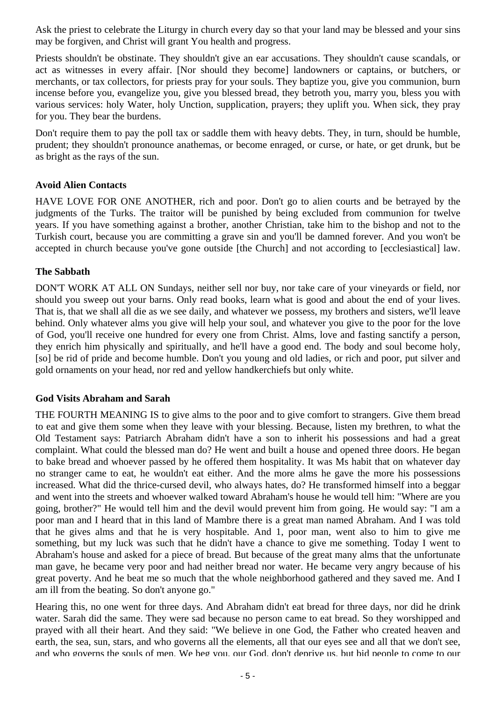Ask the priest to celebrate the Liturgy in church every day so that your land may be blessed and your sins may be forgiven, and Christ will grant You health and progress.

Priests shouldn't be obstinate. They shouldn't give an ear accusations. They shouldn't cause scandals, or act as witnesses in every affair. [Nor should they become] landowners or captains, or butchers, or merchants, or tax collectors, for priests pray for your souls. They baptize you, give you communion, burn incense before you, evangelize you, give you blessed bread, they betroth you, marry you, bless you with various services: holy Water, holy Unction, supplication, prayers; they uplift you. When sick, they pray for you. They bear the burdens.

Don't require them to pay the poll tax or saddle them with heavy debts. They, in turn, should be humble, prudent; they shouldn't pronounce anathemas, or become enraged, or curse, or hate, or get drunk, but be as bright as the rays of the sun.

## **Avoid Alien Contacts**

HAVE LOVE FOR ONE ANOTHER, rich and poor. Don't go to alien courts and be betrayed by the judgments of the Turks. The traitor will be punished by being excluded from communion for twelve years. If you have something against a brother, another Christian, take him to the bishop and not to the Turkish court, because you are committing a grave sin and you'll be damned forever. And you won't be accepted in church because you've gone outside [the Church] and not according to [ecclesiastical] law.

#### **The Sabbath**

DON'T WORK AT ALL ON Sundays, neither sell nor buy, nor take care of your vineyards or field, nor should you sweep out your barns. Only read books, learn what is good and about the end of your lives. That is, that we shall all die as we see daily, and whatever we possess, my brothers and sisters, we'll leave behind. Only whatever alms you give will help your soul, and whatever you give to the poor for the love of God, you'll receive one hundred for every one from Christ. Alms, love and fasting sanctify a person, they enrich him physically and spiritually, and he'll have a good end. The body and soul become holy, [so] be rid of pride and become humble. Don't you young and old ladies, or rich and poor, put silver and gold ornaments on your head, nor red and yellow handkerchiefs but only white.

#### **God Visits Abraham and Sarah**

THE FOURTH MEANING IS to give alms to the poor and to give comfort to strangers. Give them bread to eat and give them some when they leave with your blessing. Because, listen my brethren, to what the Old Testament says: Patriarch Abraham didn't have a son to inherit his possessions and had a great complaint. What could the blessed man do? He went and built a house and opened three doors. He began to bake bread and whoever passed by he offered them hospitality. It was Ms habit that on whatever day no stranger came to eat, he wouldn't eat either. And the more alms he gave the more his possessions increased. What did the thrice-cursed devil, who always hates, do? He transformed himself into a beggar and went into the streets and whoever walked toward Abraham's house he would tell him: "Where are you going, brother?" He would tell him and the devil would prevent him from going. He would say: "I am a poor man and I heard that in this land of Mambre there is a great man named Abraham. And I was told that he gives alms and that he is very hospitable. And 1, poor man, went also to him to give me something, but my luck was such that he didn't have a chance to give me something. Today I went to Abraham's house and asked for a piece of bread. But because of the great many alms that the unfortunate man gave, he became very poor and had neither bread nor water. He became very angry because of his great poverty. And he beat me so much that the whole neighborhood gathered and they saved me. And I am ill from the beating. So don't anyone go."

Hearing this, no one went for three days. And Abraham didn't eat bread for three days, nor did he drink water. Sarah did the same. They were sad because no person came to eat bread. So they worshipped and prayed with all their heart. And they said: "We believe in one God, the Father who created heaven and earth, the sea, sun, stars, and who governs all the elements, all that our eyes see and all that we don't see, and who governs the souls of men. We beg you, our God, don't deprive us, but bid people to come to our